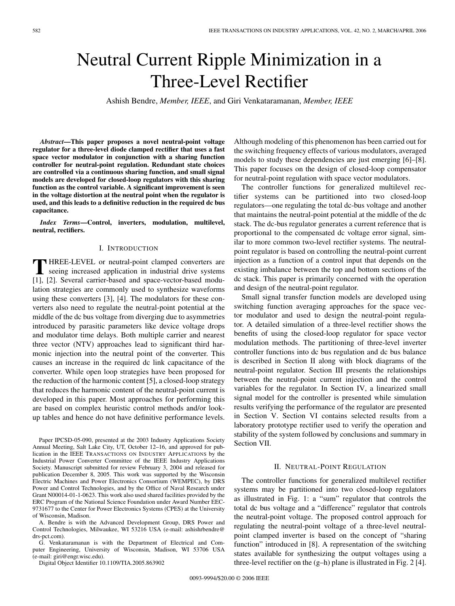# Neutral Current Ripple Minimization in a Three-Level Rectifier

Ashish Bendre, *Member, IEEE*, and Giri Venkataramanan, *Member, IEEE*

*Abstract***—This paper proposes a novel neutral-point voltage regulator for a three-level diode clamped rectifier that uses a fast space vector modulator in conjunction with a sharing function controller for neutral-point regulation. Redundant state choices are controlled via a continuous sharing function, and small signal models are developed for closed-loop regulators with this sharing function as the control variable. A significant improvement is seen in the voltage distortion at the neutral point when the regulator is used, and this leads to a definitive reduction in the required dc bus capacitance.**

*Index Terms***—Control, inverters, modulation, multilevel, neutral, rectifiers.**

## I. INTRODUCTION

**T** HREE-LEVEL or neutral-point clamped converters are seeing increased application in industrial drive systems [1], [2]. Several carrier-based and space-vector-based modulation strategies are commonly used to synthesize waveforms using these converters [3], [4]. The modulators for these converters also need to regulate the neutral-point potential at the middle of the dc bus voltage from diverging due to asymmetries introduced by parasitic parameters like device voltage drops and modulator time delays. Both multiple carrier and nearest three vector (NTV) approaches lead to significant third harmonic injection into the neutral point of the converter. This causes an increase in the required dc link capacitance of the converter. While open loop strategies have been proposed for the reduction of the harmonic content [5], a closed-loop strategy that reduces the harmonic content of the neutral-point current is developed in this paper. Most approaches for performing this are based on complex heuristic control methods and/or lookup tables and hence do not have definitive performance levels.

Paper IPCSD-05-090, presented at the 2003 Industry Applications Society Annual Meeting, Salt Lake City, UT, October 12–16, and approved for publication in the IEEE TRANSACTIONS ON INDUSTRY APPLICATIONS by the Industrial Power Converter Committee of the IEEE Industry Applications Society. Manuscript submitted for review February 3, 2004 and released for publication December 8, 2005. This work was supported by the Wisconsin Electric Machines and Power Electronics Consortium (WEMPEC), by DRS Power and Control Technologies, and by the Office of Naval Research under Grant N00014-01-1-0623. This work also used shared facilities provided by the ERC Program of the National Science Foundation under Award Number EEC-9731677 to the Center for Power Electronics Systems (CPES) at the University of Wisconsin, Madison.

A. Bendre is with the Advanced Development Group, DRS Power and Control Technologies, Milwaukee, WI 53216 USA (e-mail: ashishrbendre@ drs-pct.com).

G. Venkataramanan is with the Department of Electrical and Computer Engineering, University of Wisconsin, Madison, WI 53706 USA (e-mail: giri@engr.wisc.edu).

Digital Object Identifier 10.1109/TIA.2005.863902

Although modeling of this phenomenon has been carried out for the switching frequency effects of various modulators, averaged models to study these dependencies are just emerging [6]–[8]. This paper focuses on the design of closed-loop compensator for neutral-point regulation with space vector modulators.

The controller functions for generalized multilevel rectifier systems can be partitioned into two closed-loop regulators—one regulating the total dc-bus voltage and another that maintains the neutral-point potential at the middle of the dc stack. The dc-bus regulator generates a current reference that is proportional to the compensated dc voltage error signal, similar to more common two-level rectifier systems. The neutralpoint regulator is based on controlling the neutral-point current injection as a function of a control input that depends on the existing imbalance between the top and bottom sections of the dc stack. This paper is primarily concerned with the operation and design of the neutral-point regulator.

Small signal transfer function models are developed using switching function averaging approaches for the space vector modulator and used to design the neutral-point regulator. A detailed simulation of a three-level rectifier shows the benefits of using the closed-loop regulator for space vector modulation methods. The partitioning of three-level inverter controller functions into dc bus regulation and dc bus balance is described in Section II along with block diagrams of the neutral-point regulator. Section III presents the relationships between the neutral-point current injection and the control variables for the regulator. In Section IV, a linearized small signal model for the controller is presented while simulation results verifying the performance of the regulator are presented in Section V. Section VI contains selected results from a laboratory prototype rectifier used to verify the operation and stability of the system followed by conclusions and summary in Section VII.

## II. NEUTRAL-POINT REGULATION

The controller functions for generalized multilevel rectifier systems may be partitioned into two closed-loop regulators as illustrated in Fig. 1: a "sum" regulator that controls the total dc bus voltage and a "difference" regulator that controls the neutral-point voltage. The proposed control approach for regulating the neutral-point voltage of a three-level neutralpoint clamped inverter is based on the concept of "sharing function" introduced in [8]. A representation of the switching states available for synthesizing the output voltages using a three-level rectifier on the (g–h) plane is illustrated in Fig. 2 [4].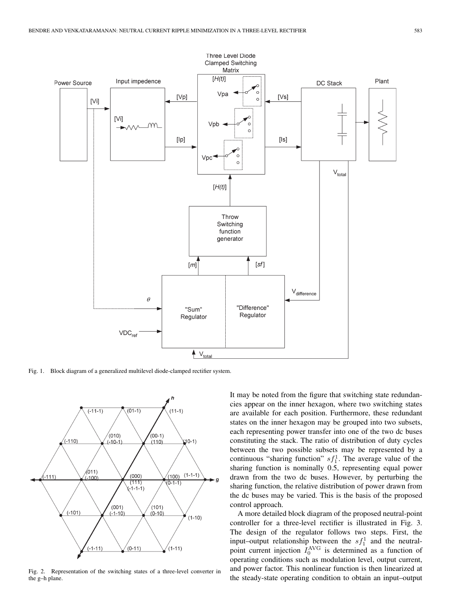

Fig. 1. Block diagram of a generalized multilevel diode-clamped rectifier system.



Fig. 2. Representation of the switching states of a three-level converter in the g–h plane.

It may be noted from the figure that switching state redundancies appear on the inner hexagon, where two switching states are available for each position. Furthermore, these redundant states on the inner hexagon may be grouped into two subsets, each representing power transfer into one of the two dc buses constituting the stack. The ratio of distribution of duty cycles between the two possible subsets may be represented by a continuous "sharing function"  $s f_1^1$ . The average value of the sharing function is nominally 0.5, representing equal power drawn from the two dc buses. However, by perturbing the sharing function, the relative distribution of power drawn from the dc buses may be varied. This is the basis of the proposed control approach.

A more detailed block diagram of the proposed neutral-point controller for a three-level rectifier is illustrated in Fig. 3. The design of the regulator follows two steps. First, the input–output relationship between the  $sf_1^1$  and the neutralpoint current injection  $I_0^{\text{AVG}}$  is determined as a function of operating conditions such as modulation level, output current, and power factor. This nonlinear function is then linearized at the steady-state operating condition to obtain an input–output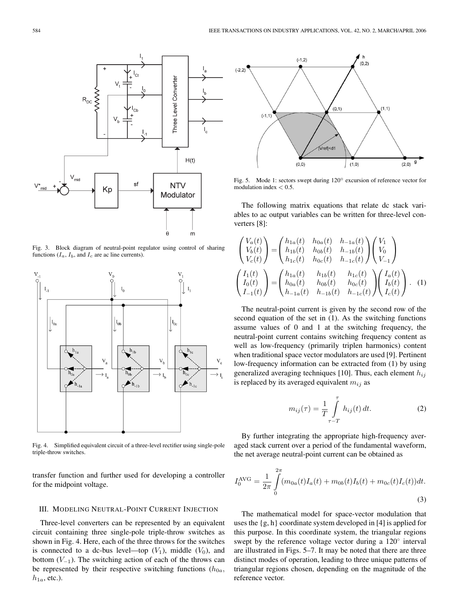

Fig. 3. Block diagram of neutral-point regulator using control of sharing functions  $(I_a, I_b,$  and  $I_c$  are ac line currents).



Fig. 4. Simplified equivalent circuit of a three-level rectifier using single-pole triple-throw switches.

transfer function and further used for developing a controller for the midpoint voltage.

# III. MODELING NEUTRAL-POINT CURRENT INJECTION

Three-level converters can be represented by an equivalent circuit containing three single-pole triple-throw switches as shown in Fig. 4. Here, each of the three throws for the switches is connected to a dc-bus level—top  $(V_1)$ , middle  $(V_0)$ , and bottom  $(V_{-1})$ . The switching action of each of the throws can be represented by their respective switching functions  $(h_{0a},$  $h_{1a}$ , etc.).



Fig. 5. Mode 1: sectors swept during 120◦ excursion of reference vector for modulation index *<* 0.5.

The following matrix equations that relate dc stack variables to ac output variables can be written for three-level converters [8]:

$$
\begin{pmatrix}\nV_a(t) \\
V_b(t) \\
V_c(t)\n\end{pmatrix} = \begin{pmatrix}\nh_{1a}(t) & h_{0a}(t) & h_{-1a}(t) \\
h_{1b}(t) & h_{0b}(t) & h_{-1b}(t) \\
h_{1c}(t) & h_{0c}(t) & h_{-1c}(t)\n\end{pmatrix} \begin{pmatrix}\nV_1 \\
V_0 \\
V_{-1}\n\end{pmatrix}
$$
\n
$$
\begin{pmatrix}\nI_1(t) \\
I_0(t) \\
I_{-1}(t)\n\end{pmatrix} = \begin{pmatrix}\nh_{1a}(t) & h_{1b}(t) & h_{1c}(t) \\
h_{0a}(t) & h_{0b}(t) & h_{0c}(t) \\
h_{-1a}(t) & h_{-1b}(t) & h_{-1c}(t)\n\end{pmatrix} \begin{pmatrix}\nI_a(t) \\
I_b(t) \\
I_c(t)\n\end{pmatrix}.
$$
 (1)

The neutral-point current is given by the second row of the second equation of the set in (1). As the switching functions assume values of 0 and 1 at the switching frequency, the neutral-point current contains switching frequency content as well as low-frequency (primarily triplen harmonics) content when traditional space vector modulators are used [9]. Pertinent low-frequency information can be extracted from (1) by using generalized averaging techniques [10]. Thus, each element  $h_{ij}$ is replaced by its averaged equivalent  $m_{ij}$  as

$$
m_{ij}(\tau) = \frac{1}{T} \int_{\tau - T}^{\tau} h_{ij}(t) dt.
$$
 (2)

By further integrating the appropriate high-frequency averaged stack current over a period of the fundamental waveform, the net average neutral-point current can be obtained as

$$
I_0^{\text{AVG}} = \frac{1}{2\pi} \int_0^{2\pi} (m_{0a}(t)I_a(t) + m_{0b}(t)I_b(t) + m_{0c}(t)I_c(t))dt.
$$
\n(3)

The mathematical model for space-vector modulation that uses the  $\{g, h\}$  coordinate system developed in [4] is applied for this purpose. In this coordinate system, the triangular regions swept by the reference voltage vector during a 120<sup>°</sup> interval are illustrated in Figs. 5–7. It may be noted that there are three distinct modes of operation, leading to three unique patterns of triangular regions chosen, depending on the magnitude of the reference vector.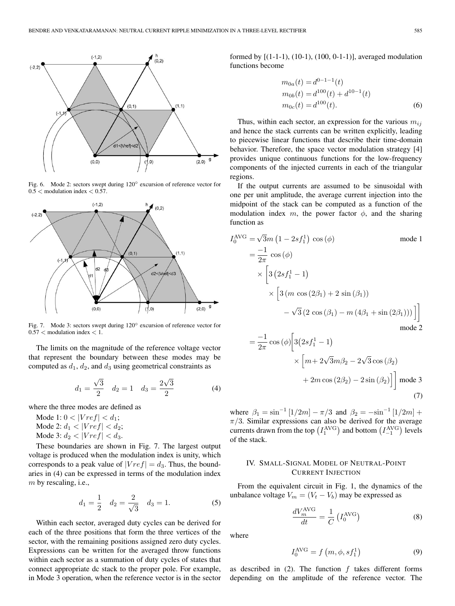

Fig. 6. Mode 2: sectors swept during 120◦ excursion of reference vector for 0.5 *<* modulation index *<* 0.57.



Fig. 7. Mode 3: sectors swept during 120◦ excursion of reference vector for 0.57 *<* modulation index *<* 1.

The limits on the magnitude of the reference voltage vector that represent the boundary between these modes may be computed as  $d_1$ ,  $d_2$ , and  $d_3$  using geometrical constraints as

$$
d_1 = \frac{\sqrt{3}}{2} \quad d_2 = 1 \quad d_3 = \frac{2\sqrt{3}}{2} \tag{4}
$$

where the three modes are defined as

Mode 1:  $0 < |Vref| < d_1$ ; Mode 2:  $d_1 < |Vref| < d_2$ ; Mode 3:  $d_2 < |Vref| < d_3$ .

These boundaries are shown in Fig. 7. The largest output voltage is produced when the modulation index is unity, which corresponds to a peak value of  $|Vref| = d_3$ . Thus, the boundaries in (4) can be expressed in terms of the modulation index  $m$  by rescaling, i.e.,

$$
d_1 = \frac{1}{2} \quad d_2 = \frac{2}{\sqrt{3}} \quad d_3 = 1. \tag{5}
$$

Within each sector, averaged duty cycles can be derived for each of the three positions that form the three vertices of the sector, with the remaining positions assigned zero duty cycles. Expressions can be written for the averaged throw functions within each sector as a summation of duty cycles of states that connect appropriate dc stack to the proper pole. For example, in Mode 3 operation, when the reference vector is in the sector

formed by [(1-1-1), (10-1), (100, 0-1-1)], averaged modulation functions become

$$
m_{0a}(t) = d^{0-1-1}(t)
$$
  
\n
$$
m_{0b}(t) = d^{100}(t) + d^{10-1}(t)
$$
  
\n
$$
m_{0c}(t) = d^{100}(t).
$$
\n(6)

Thus, within each sector, an expression for the various  $m_{ij}$ and hence the stack currents can be written explicitly, leading to piecewise linear functions that describe their time-domain behavior. Therefore, the space vector modulation strategy [4] provides unique continuous functions for the low-frequency components of the injected currents in each of the triangular regions.

If the output currents are assumed to be sinusoidal with one per unit amplitude, the average current injection into the midpoint of the stack can be computed as a function of the modulation index m, the power factor  $\phi$ , and the sharing function as

$$
I_0^{\text{AVG}} = \sqrt{3}m (1 - 2sf_1^1) \cos(\phi) \qquad \text{mode 1}
$$
  
=  $\frac{-1}{2\pi} \cos(\phi)$   
 $\times \left[3 (2sf_1^1 - 1)$   
 $\times \left[3 (m \cos(2\beta_1) + 2 \sin(\beta_1))\right]$   
 $-\sqrt{3} (2 \cos(\beta_1) - m (4\beta_1 + \sin(2\beta_1))) \right]$   
mode 2

$$
= \frac{-1}{2\pi} \cos(\phi) \left[ 3(2sf_1^1 - 1) \times \left[ m + 2\sqrt{3}m\beta_2 - 2\sqrt{3}\cos(\beta_2) + 2m\cos(2\beta_2) - 2\sin(\beta_2) \right] \right]
$$
 mode 3 (7)

where  $\beta_1 = \sin^{-1} [1/2m] - \pi/3$  and  $\beta_2 = -\sin^{-1} [1/2m] +$  $\pi/3$ . Similar expressions can also be derived for the average currents drawn from the top  $(I_1^{\text{AVG}})$  and bottom  $(I_{-1}^{\text{AVG}})$  levels of the stack.

# IV. SMALL-SIGNAL MODEL OF NEUTRAL-POINT CURRENT INJECTION

From the equivalent circuit in Fig. 1, the dynamics of the unbalance voltage  $V_m = (V_t - V_b)$  may be expressed as

$$
\frac{dV_m^{\text{AVG}}}{dt} = \frac{1}{C} \left( I_0^{\text{AVG}} \right) \tag{8}
$$

where

$$
I_0^{\text{AVG}} = f(m, \phi, s f_1^1)
$$
 (9)

as described in  $(2)$ . The function  $f$  takes different forms depending on the amplitude of the reference vector. The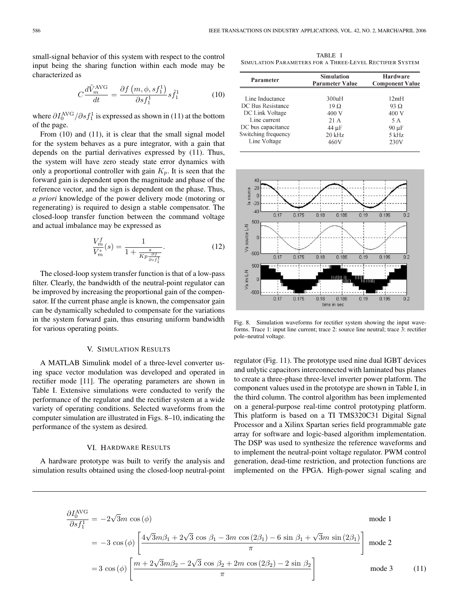small-signal behavior of this system with respect to the control input being the sharing function within each mode may be characterized as

$$
C\frac{d\tilde{V}_m^{\text{AVG}}}{dt} = \frac{\partial f\left(m, \phi, s f_1^1\right)}{\partial s f_1^1} s \tilde{f}_1^1 \tag{10}
$$

where  $\partial I_0^{\text{AVG}} / \partial s f_1^1$  is expressed as shown in (11) at the bottom of the page.

From (10) and (11), it is clear that the small signal model for the system behaves as a pure integrator, with a gain that depends on the partial derivatives expressed by (11). Thus, the system will have zero steady state error dynamics with only a proportional controller with gain  $K_p$ . It is seen that the forward gain is dependent upon the magnitude and phase of the reference vector, and the sign is dependent on the phase. Thus, *a priori* knowledge of the power delivery mode (motoring or regenerating) is required to design a stable compensator. The closed-loop transfer function between the command voltage and actual imbalance may be expressed as

$$
\frac{V_m^f}{V_m^*}(s) = \frac{1}{1 + \frac{s}{Kp \frac{\partial f}{\partial s f_1^1}}}.
$$
\n(12)

The closed-loop system transfer function is that of a low-pass filter. Clearly, the bandwidth of the neutral-point regulator can be improved by increasing the proportional gain of the compensator. If the current phase angle is known, the compensator gain can be dynamically scheduled to compensate for the variations in the system forward gain, thus ensuring uniform bandwidth for various operating points.

# V. SIMULATION RESULTS

A MATLAB Simulink model of a three-level converter using space vector modulation was developed and operated in rectifier mode [11]. The operating parameters are shown in Table I. Extensive simulations were conducted to verify the performance of the regulator and the rectifier system at a wide variety of operating conditions. Selected waveforms from the computer simulation are illustrated in Figs. 8–10, indicating the performance of the system as desired.

#### VI. HARDWARE RESULTS

A hardware prototype was built to verify the analysis and simulation results obtained using the closed-loop neutral-point

TABLE I SIMULATION PARAMETERS FOR A THREE-LEVEL RECTIFIER SYSTEM

| Parameter           | <b>Simulation</b><br><b>Parameter Value</b> | <b>Hardware</b><br><b>Component Value</b> |
|---------------------|---------------------------------------------|-------------------------------------------|
| Line Inductance     | 300uH                                       | 12mH                                      |
| DC Bus Resistance   | $19\Omega$                                  | 93 $\Omega$                               |
| DC Link Voltage     | 400 V                                       | 400 V                                     |
| Line current        | 21 A                                        | 5 A                                       |
| DC bus capacitance  | 44 µF                                       | $90 \mu F$                                |
| Switching frequency | 20 kHz                                      | 5 kHz                                     |
| Line Voltage        | 460V                                        | 230V                                      |



Fig. 8. Simulation waveforms for rectifier system showing the input waveforms. Trace 1: input line current; trace 2: source line neutral; trace 3: rectifier pole–neutral voltage.

regulator (Fig. 11). The prototype used nine dual IGBT devices and unlytic capacitors interconnected with laminated bus planes to create a three-phase three-level inverter power platform. The component values used in the prototype are shown in Table I, in the third column. The control algorithm has been implemented on a general-purpose real-time control prototyping platform. This platform is based on a TI TMS320C31 Digital Signal Processor and a Xilinx Spartan series field programmable gate array for software and logic-based algorithm implementation. The DSP was used to synthesize the reference waveforms and to implement the neutral-point voltage regulator. PWM control generation, dead-time restriction, and protection functions are implemented on the FPGA. High-power signal scaling and

$$
\frac{\partial I_0^{\text{AVG}}}{\partial s f_1^1} = -2\sqrt{3}m \cos(\phi) \qquad \text{mode 1}
$$
  
= -3 cos(\phi) \left[ \frac{4\sqrt{3}m\beta\_1 + 2\sqrt{3}\cos\beta\_1 - 3m\cos(2\beta\_1) - 6\sin\beta\_1 + \sqrt{3}m\sin(2\beta\_1)}{\pi} \right] \text{mode 2}  
= 3 cos(\phi) \left[ \frac{m + 2\sqrt{3}m\beta\_2 - 2\sqrt{3}\cos\beta\_2 + 2m\cos(2\beta\_2) - 2\sin\beta\_2}{\pi} \right] \text{mode 3} (11)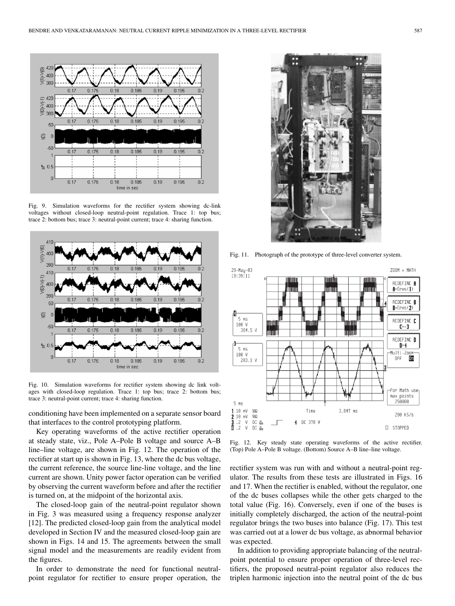

Fig. 9. Simulation waveforms for the rectifier system showing dc-link voltages without closed-loop neutral-point regulation. Trace 1: top bus; trace 2: bottom bus; trace 3: neutral-point current; trace 4: sharing function.



Fig. 10. Simulation waveforms for rectifier system showing dc link voltages with closed-loop regulation. Trace 1: top bus; trace 2: bottom bus; trace 3: neutral-point current; trace 4: sharing function.

conditioning have been implemented on a separate sensor board that interfaces to the control prototyping platform.

Key operating waveforms of the active rectifier operation at steady state, viz., Pole A–Pole B voltage and source A–B line–line voltage, are shown in Fig. 12. The operation of the rectifier at start up is shown in Fig. 13, where the dc bus voltage, the current reference, the source line-line voltage, and the line current are shown. Unity power factor operation can be verified by observing the current waveform before and after the rectifier is turned on, at the midpoint of the horizontal axis.

The closed-loop gain of the neutral-point regulator shown in Fig. 3 was measured using a frequency response analyzer [12]. The predicted closed-loop gain from the analytical model developed in Section IV and the measured closed-loop gain are shown in Figs. 14 and 15. The agreements between the small signal model and the measurements are readily evident from the figures.

In order to demonstrate the need for functional neutralpoint regulator for rectifier to ensure proper operation, the



Fig. 11. Photograph of the prototype of three-level converter system.



Fig. 12. Key steady state operating waveforms of the active rectifier. (Top) Pole A–Pole B voltage. (Bottom) Source A–B line–line voltage.

rectifier system was run with and without a neutral-point regulator. The results from these tests are illustrated in Figs. 16 and 17. When the rectifier is enabled, without the regulator, one of the dc buses collapses while the other gets charged to the total value (Fig. 16). Conversely, even if one of the buses is initially completely discharged, the action of the neutral-point regulator brings the two buses into balance (Fig. 17). This test was carried out at a lower dc bus voltage, as abnormal behavior was expected.

In addition to providing appropriate balancing of the neutralpoint potential to ensure proper operation of three-level rectifiers, the proposed neutral-point regulator also reduces the triplen harmonic injection into the neutral point of the dc bus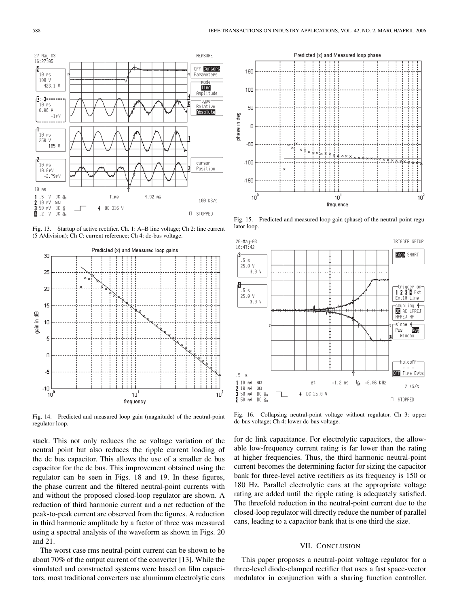

Fig. 13. Startup of active rectifier. Ch. 1: A–B line voltage; Ch 2: line current (5 A/division); Ch C: current reference; Ch 4: dc-bus voltage.



Fig. 14. Predicted and measured loop gain (magnitude) of the neutral-point regulator loop.

stack. This not only reduces the ac voltage variation of the neutral point but also reduces the ripple current loading of the dc bus capacitor. This allows the use of a smaller dc bus capacitor for the dc bus. This improvement obtained using the regulator can be seen in Figs. 18 and 19. In these figures, the phase current and the filtered neutral-point currents with and without the proposed closed-loop regulator are shown. A reduction of third harmonic current and a net reduction of the peak-to-peak current are observed from the figures. A reduction in third harmonic amplitude by a factor of three was measured using a spectral analysis of the waveform as shown in Figs. 20 and 21.

The worst case rms neutral-point current can be shown to be about 70% of the output current of the converter [13]. While the simulated and constructed systems were based on film capacitors, most traditional converters use aluminum electrolytic cans



Fig. 15. Predicted and measured loop gain (phase) of the neutral-point regulator loop.



Fig. 16. Collapsing neutral-point voltage without regulator. Ch 3: upper dc-bus voltage; Ch 4: lower dc-bus voltage.

for dc link capacitance. For electrolytic capacitors, the allowable low-frequency current rating is far lower than the rating at higher frequencies. Thus, the third harmonic neutral-point current becomes the determining factor for sizing the capacitor bank for three-level active rectifiers as its frequency is 150 or 180 Hz. Parallel electrolytic cans at the appropriate voltage rating are added until the ripple rating is adequately satisfied. The threefold reduction in the neutral-point current due to the closed-loop regulator will directly reduce the number of parallel cans, leading to a capacitor bank that is one third the size.

### VII. CONCLUSION

This paper proposes a neutral-point voltage regulator for a three-level diode-clamped rectifier that uses a fast space-vector modulator in conjunction with a sharing function controller.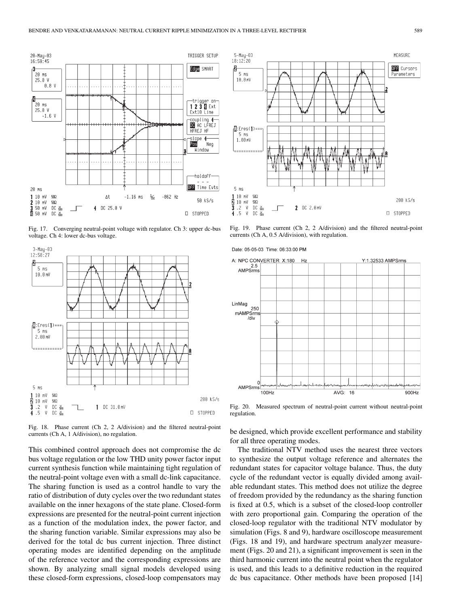

Fig. 17. Converging neutral-point voltage with regulator. Ch 3: upper dc-bus voltage. Ch 4: lower dc-bus voltage.



Fig. 18. Phase current (Ch 2, 2 A/division) and the filtered neutral-point currents (Ch A, 1 A/division), no regulation.

This combined control approach does not compromise the dc bus voltage regulation or the low THD unity power factor input current synthesis function while maintaining tight regulation of the neutral-point voltage even with a small dc-link capacitance. The sharing function is used as a control handle to vary the ratio of distribution of duty cycles over the two redundant states available on the inner hexagons of the state plane. Closed-form expressions are presented for the neutral-point current injection as a function of the modulation index, the power factor, and the sharing function variable. Similar expressions may also be derived for the total dc bus current injection. Three distinct operating modes are identified depending on the amplitude of the reference vector and the corresponding expressions are shown. By analyzing small signal models developed using these closed-form expressions, closed-loop compensators may



Fig. 19. Phase current (Ch 2, 2 A/division) and the filtered neutral-point currents (Ch A, 0.5 A/division), with regulation.



Fig. 20. Measured spectrum of neutral-point current without neutral-point regulation.

be designed, which provide excellent performance and stability for all three operating modes.

The traditional NTV method uses the nearest three vectors to synthesize the output voltage reference and alternates the redundant states for capacitor voltage balance. Thus, the duty cycle of the redundant vector is equally divided among available redundant states. This method does not utilize the degree of freedom provided by the redundancy as the sharing function is fixed at 0.5, which is a subset of the closed-loop controller with zero proportional gain. Comparing the operation of the closed-loop regulator with the traditional NTV modulator by simulation (Figs. 8 and 9), hardware oscilloscope measurement (Figs. 18 and 19), and hardware spectrum analyzer measurement (Figs. 20 and 21), a significant improvement is seen in the third harmonic current into the neutral point when the regulator is used, and this leads to a definitive reduction in the required dc bus capacitance. Other methods have been proposed [14]